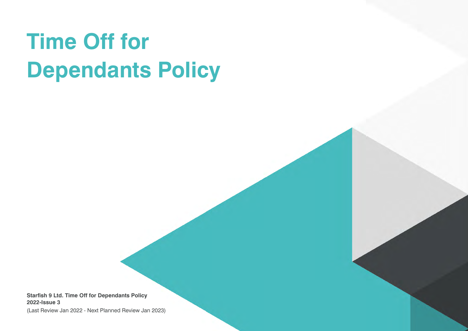# **Time Off for Dependants Policy**

**Starfish 9 Ltd. Time Off for Dependants Policy 2022-Issue 3**

(Last Review Jan 2022 - Next Planned Review Jan 2023)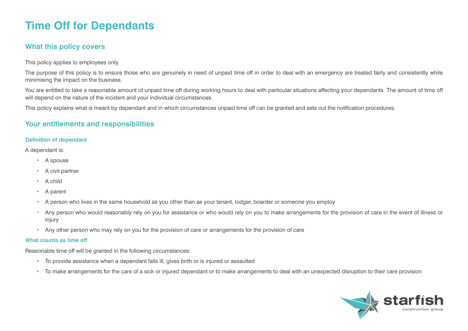# **Time Off for Dependants**

## **What this policy covers**

This policy applies to employees only.

The purpose of this policy is to ensure those who are genuinely in need of unpaid time off in order to deal with an emergency are treated fairly and consistently while minimising the impact on the business.

You are entitled to take a reasonable amount of unpaid time off during working hours to deal with particular situations affecting your dependants. The amount of time off will depend on the nature of the incident and your individual circumstances.

This policy explains what is meant by dependant and in which circumstances unpaid time off can be granted and sets out the notification procedures.

### **Your entitlements and responsibilities**

#### **Definition of dependant**

A dependant is:

- A spouse
- A civil partner
- A child
- A parent
- A person who lives in the same household as you other than as your tenant, lodger, boarder or someone you employ
- Any person who would reasonably rely on you for assistance or who would rely on you to make arrangements for the provision of care in the event of illness or injury
- Any other person who may rely on you for the provision of care or arrangements for the provision of care

#### **What counts as time off**

Reasonable time off will be granted in the following circumstances:

- To provide assistance when a dependant falls ill, gives birth or is injured or assaulted
- To make arrangements for the care of a sick or injured dependant or to make arrangements to deal with an unexpected disruption to their care provision